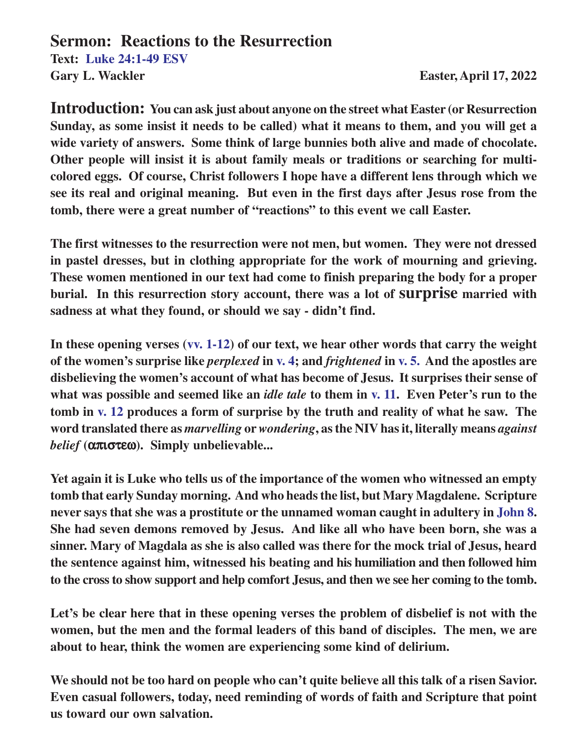# **Sermon: Reactions to the Resurrection**

**Text: Luke 24:1-49 ESV Gary L. Wackler Easter, April 17, 2022**

**Introduction: You can ask just about anyone on the street what Easter (or Resurrection Sunday, as some insist it needs to be called) what it means to them, and you will get a wide variety of answers. Some think of large bunnies both alive and made of chocolate. Other people will insist it is about family meals or traditions or searching for multicolored eggs. Of course, Christ followers I hope have a different lens through which we see its real and original meaning. But even in the first days after Jesus rose from the tomb, there were a great number of "reactions" to this event we call Easter.**

**The first witnesses to the resurrection were not men, but women. They were not dressed in pastel dresses, but in clothing appropriate for the work of mourning and grieving. These women mentioned in our text had come to finish preparing the body for a proper burial. In this resurrection story account, there was a lot of surprise married with sadness at what they found, or should we say - didn't find.**

**In these opening verses (vv. 1-12) of our text, we hear other words that carry the weight of the women's surprise like** *perplexed* **in v. 4; and** *frightened* **in v. 5. And the apostles are disbelieving the women's account of what has become of Jesus. It surprises their sense of what was possible and seemed like an** *idle tale* **to them in v. 11. Even Peter's run to the tomb in v. 12 produces a form of surprise by the truth and reality of what he saw. The word translated there as** *marvelling* **or***wondering***, as the NIV has it, literally means** *against belief* **(**απιστεω**). Simply unbelievable...**

**Yet again it is Luke who tells us of the importance of the women who witnessed an empty tomb that early Sunday morning. And who heads the list, but Mary Magdalene. Scripture never says that she was a prostitute or the unnamed woman caught in adultery in John 8. She had seven demons removed by Jesus. And like all who have been born, she was a sinner. Mary of Magdala as she is also called was there for the mock trial of Jesus, heard the sentence against him, witnessed his beating and his humiliation and then followed him to the cross to show support and help comfort Jesus, and then we see her coming to the tomb.**

**Let's be clear here that in these opening verses the problem of disbelief is not with the women, but the men and the formal leaders of this band of disciples. The men, we are about to hear, think the women are experiencing some kind of delirium.**

**We should not be too hard on people who can't quite believe all this talk of a risen Savior. Even casual followers, today, need reminding of words of faith and Scripture that point us toward our own salvation.**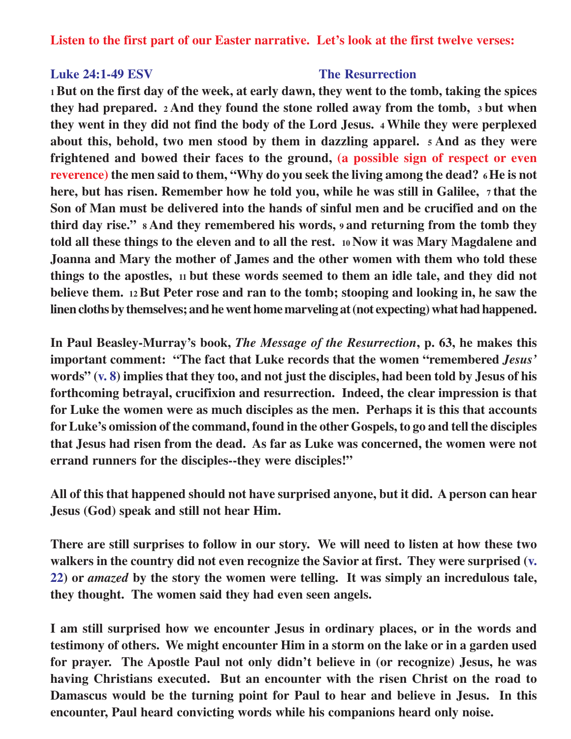#### **Listen to the first part of our Easter narrative. Let's look at the first twelve verses:**

#### **Luke 24:1-49 ESV The Resurrection**

**<sup>1</sup>But on the first day of the week, at early dawn, they went to the tomb, taking the spices they had prepared. 2 And they found the stone rolled away from the tomb, 3 but when they went in they did not find the body of the Lord Jesus. 4 While they were perplexed about this, behold, two men stood by them in dazzling apparel. 5 And as they were frightened and bowed their faces to the ground, (a possible sign of respect or even reverence)** the men said to them, "Why do you seek the living among the dead? **6** He is not **here, but has risen. Remember how he told you, while he was still in Galilee, 7 that the Son of Man must be delivered into the hands of sinful men and be crucified and on the third day rise." 8 And they remembered his words, 9 and returning from the tomb they told all these things to the eleven and to all the rest. 10 Now it was Mary Magdalene and Joanna and Mary the mother of James and the other women with them who told these things to the apostles, 11 but these words seemed to them an idle tale, and they did not believe them. 12 But Peter rose and ran to the tomb; stooping and looking in, he saw the linen cloths by themselves; and he went home marveling at (not expecting) what had happened.**

**In Paul Beasley-Murray's book,** *The Message of the Resurrection***, p. 63, he makes this important comment: "The fact that Luke records that the women "remembered** *Jesus'* **words" (v. 8) implies that they too, and not just the disciples, had been told by Jesus of his forthcoming betrayal, crucifixion and resurrection. Indeed, the clear impression is that for Luke the women were as much disciples as the men. Perhaps it is this that accounts for Luke's omission of the command, found in the other Gospels, to go and tell the disciples that Jesus had risen from the dead. As far as Luke was concerned, the women were not errand runners for the disciples--they were disciples!"**

**All of this that happened should not have surprised anyone, but it did. A person can hear Jesus (God) speak and still not hear Him.**

**There are still surprises to follow in our story. We will need to listen at how these two walkers in the country did not even recognize the Savior at first. They were surprised (v. 22) or** *amazed* **by the story the women were telling. It was simply an incredulous tale, they thought. The women said they had even seen angels.**

**I am still surprised how we encounter Jesus in ordinary places, or in the words and testimony of others. We might encounter Him in a storm on the lake or in a garden used for prayer. The Apostle Paul not only didn't believe in (or recognize) Jesus, he was having Christians executed. But an encounter with the risen Christ on the road to Damascus would be the turning point for Paul to hear and believe in Jesus. In this encounter, Paul heard convicting words while his companions heard only noise.**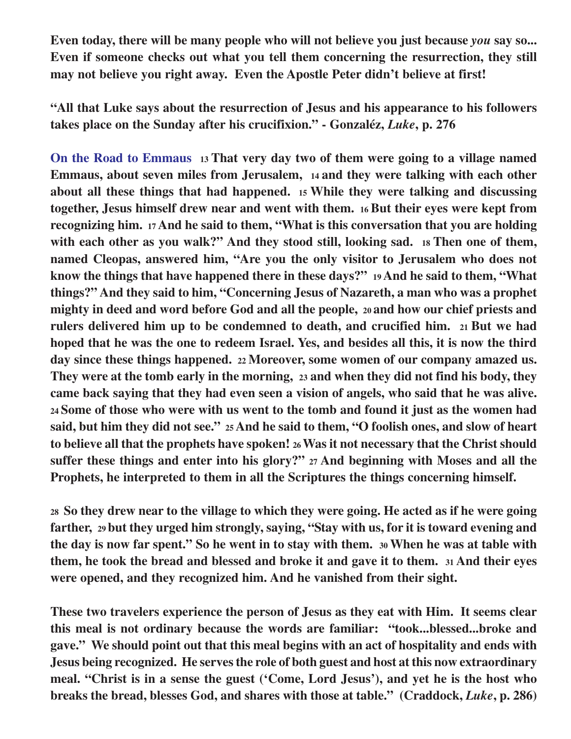**Even today, there will be many people who will not believe you just because** *you* **say so... Even if someone checks out what you tell them concerning the resurrection, they still may not believe you right away. Even the Apostle Peter didn't believe at first!**

**"All that Luke says about the resurrection of Jesus and his appearance to his followers takes place on the Sunday after his crucifixion." - Gonzaléz,** *Luke***, p. 276**

**On the Road to Emmaus 13 That very day two of them were going to a village named Emmaus, about seven miles from Jerusalem, 14 and they were talking with each other about all these things that had happened. 15 While they were talking and discussing together, Jesus himself drew near and went with them. 16 But their eyes were kept from recognizing him. 17 And he said to them, "What is this conversation that you are holding with each other as you walk?" And they stood still, looking sad. 18 Then one of them, named Cleopas, answered him, "Are you the only visitor to Jerusalem who does not know the things that have happened there in these days?" 19 And he said to them, "What things?" And they said to him, "Concerning Jesus of Nazareth, a man who was a prophet mighty in deed and word before God and all the people, 20 and how our chief priests and rulers delivered him up to be condemned to death, and crucified him. 21 But we had hoped that he was the one to redeem Israel. Yes, and besides all this, it is now the third day since these things happened. 22 Moreover, some women of our company amazed us. They were at the tomb early in the morning, 23 and when they did not find his body, they came back saying that they had even seen a vision of angels, who said that he was alive. <sup>24</sup>Some of those who were with us went to the tomb and found it just as the women had said, but him they did not see." 25 And he said to them, "O foolish ones, and slow of heart to believe all that the prophets have spoken! 26 Was it not necessary that the Christ should suffer these things and enter into his glory?" 27 And beginning with Moses and all the Prophets, he interpreted to them in all the Scriptures the things concerning himself.**

**<sup>28</sup>So they drew near to the village to which they were going. He acted as if he were going farther, 29 but they urged him strongly, saying, "Stay with us, for it is toward evening and the day is now far spent." So he went in to stay with them. 30 When he was at table with them, he took the bread and blessed and broke it and gave it to them. 31 And their eyes were opened, and they recognized him. And he vanished from their sight.**

**These two travelers experience the person of Jesus as they eat with Him. It seems clear this meal is not ordinary because the words are familiar: "took...blessed...broke and gave." We should point out that this meal begins with an act of hospitality and ends with Jesus being recognized. He serves the role of both guest and host at this now extraordinary meal. "Christ is in a sense the guest ('Come, Lord Jesus'), and yet he is the host who breaks the bread, blesses God, and shares with those at table." (Craddock,** *Luke***, p. 286)**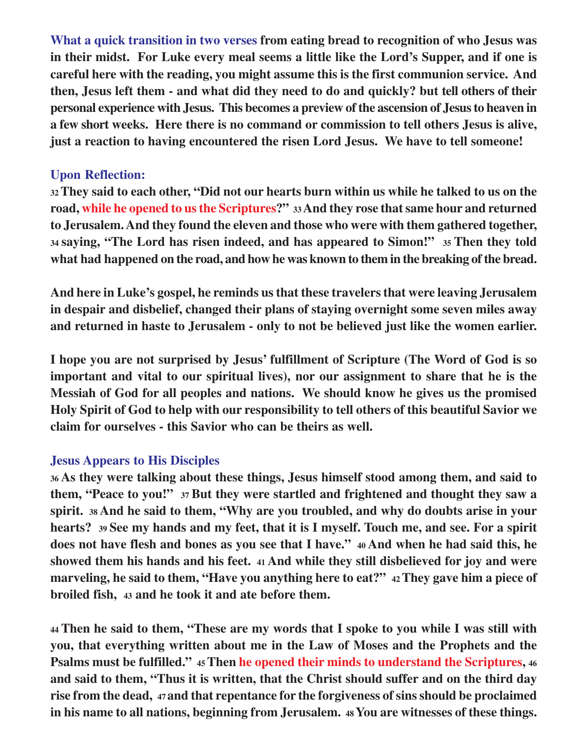**What a quick transition in two verses from eating bread to recognition of who Jesus was in their midst. For Luke every meal seems a little like the Lord's Supper, and if one is careful here with the reading, you might assume this is the first communion service. And then, Jesus left them - and what did they need to do and quickly? but tell others of their personal experience with Jesus. This becomes a preview of the ascension of Jesus to heaven in a few short weeks. Here there is no command or commission to tell others Jesus is alive, just a reaction to having encountered the risen Lord Jesus. We have to tell someone!**

#### **Upon Reflection:**

**<sup>32</sup>They said to each other, "Did not our hearts burn within us while he talked to us on the road, while he opened to us the Scriptures?" 33 And they rose that same hour and returned to Jerusalem. And they found the eleven and those who were with them gathered together, <sup>34</sup>saying, "The Lord has risen indeed, and has appeared to Simon!" 35 Then they told what had happened on the road, and how he was known to them in the breaking of the bread.**

**And here in Luke's gospel, he reminds us that these travelers that were leaving Jerusalem in despair and disbelief, changed their plans of staying overnight some seven miles away and returned in haste to Jerusalem - only to not be believed just like the women earlier.**

**I hope you are not surprised by Jesus' fulfillment of Scripture (The Word of God is so important and vital to our spiritual lives), nor our assignment to share that he is the Messiah of God for all peoples and nations. We should know he gives us the promised Holy Spirit of God to help with our responsibility to tell others of this beautiful Savior we claim for ourselves - this Savior who can be theirs as well.**

#### **Jesus Appears to His Disciples**

**<sup>36</sup>As they were talking about these things, Jesus himself stood among them, and said to them, "Peace to you!" 37 But they were startled and frightened and thought they saw a spirit. 38 And he said to them, "Why are you troubled, and why do doubts arise in your hearts? 39 See my hands and my feet, that it is I myself. Touch me, and see. For a spirit does not have flesh and bones as you see that I have." 40 And when he had said this, he showed them his hands and his feet. 41 And while they still disbelieved for joy and were marveling, he said to them, "Have you anything here to eat?" 42 They gave him a piece of broiled fish, 43 and he took it and ate before them.**

**<sup>44</sup>Then he said to them, "These are my words that I spoke to you while I was still with you, that everything written about me in the Law of Moses and the Prophets and the Psalms must be fulfilled." 45 Then he opened their minds to understand the Scriptures, <sup>46</sup> and said to them, "Thus it is written, that the Christ should suffer and on the third day rise from the dead, 47 and that repentance for the forgiveness of sins should be proclaimed in his name to all nations, beginning from Jerusalem. 48 You are witnesses of these things.**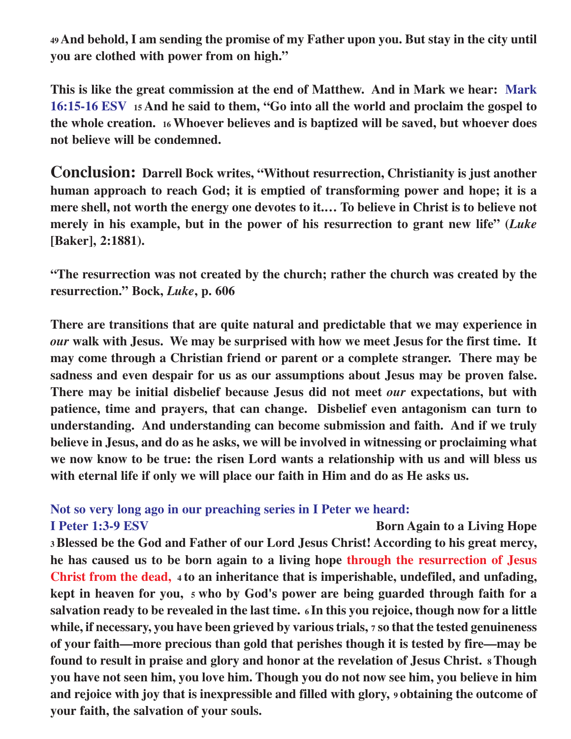**<sup>49</sup>And behold, I am sending the promise of my Father upon you. But stay in the city until you are clothed with power from on high."**

**This is like the great commission at the end of Matthew. And in Mark we hear: Mark 16:15-16 ESV 15 And he said to them, "Go into all the world and proclaim the gospel to the whole creation. 16 Whoever believes and is baptized will be saved, but whoever does not believe will be condemned.**

**Conclusion: Darrell Bock writes, "Without resurrection, Christianity is just another human approach to reach God; it is emptied of transforming power and hope; it is a mere shell, not worth the energy one devotes to it.… To believe in Christ is to believe not merely in his example, but in the power of his resurrection to grant new life" (***Luke* **[Baker], 2:1881).**

**"The resurrection was not created by the church; rather the church was created by the resurrection." Bock,** *Luke***, p. 606**

**There are transitions that are quite natural and predictable that we may experience in** *our* **walk with Jesus. We may be surprised with how we meet Jesus for the first time. It may come through a Christian friend or parent or a complete stranger. There may be sadness and even despair for us as our assumptions about Jesus may be proven false. There may be initial disbelief because Jesus did not meet** *our* **expectations, but with patience, time and prayers, that can change. Disbelief even antagonism can turn to understanding. And understanding can become submission and faith. And if we truly believe in Jesus, and do as he asks, we will be involved in witnessing or proclaiming what we now know to be true: the risen Lord wants a relationship with us and will bless us with eternal life if only we will place our faith in Him and do as He asks us.**

### **Not so very long ago in our preaching series in I Peter we heard:**

**I Peter 1:3-9 ESV** Born Again to a Living Hope **<sup>3</sup>Blessed be the God and Father of our Lord Jesus Christ! According to his great mercy, he has caused us to be born again to a living hope through the resurrection of Jesus Christ from the dead, 4 to an inheritance that is imperishable, undefiled, and unfading, kept in heaven for you, 5 who by God's power are being guarded through faith for a salvation ready to be revealed in the last time. 6 In this you rejoice, though now for a little while, if necessary, you have been grieved by various trials, 7 so that the tested genuineness of your faith—more precious than gold that perishes though it is tested by fire—may be found to result in praise and glory and honor at the revelation of Jesus Christ. 8 Though you have not seen him, you love him. Though you do not now see him, you believe in him and rejoice with joy that is inexpressible and filled with glory, 9 obtaining the outcome of your faith, the salvation of your souls.**